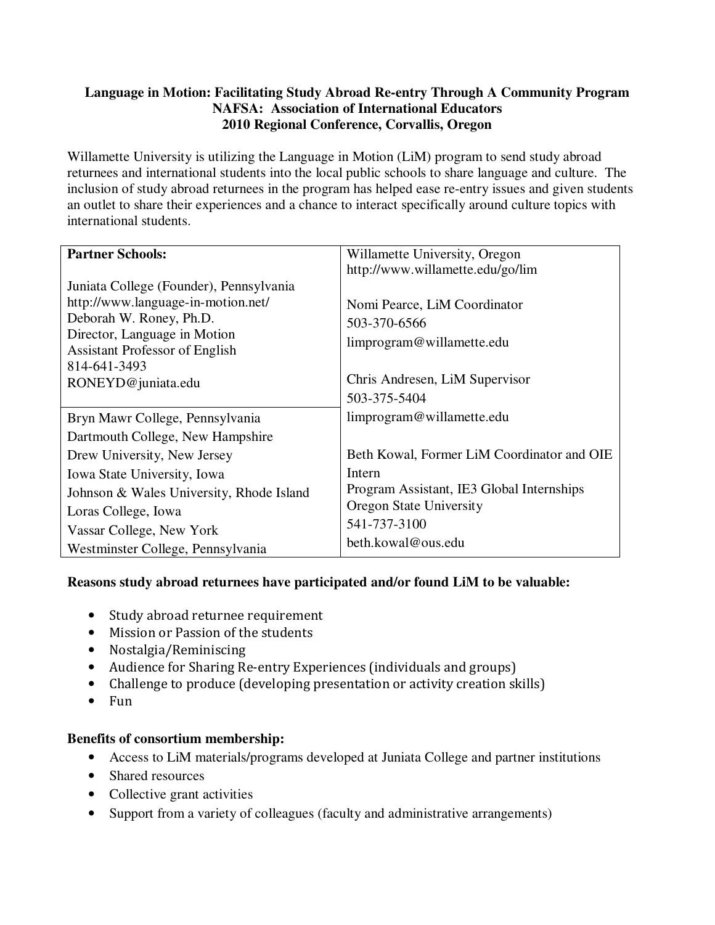# **Language in Motion: Facilitating Study Abroad Re-entry Through A Community Program NAFSA: Association of International Educators 2010 Regional Conference, Corvallis, Oregon**

Willamette University is utilizing the Language in Motion (LiM) program to send study abroad returnees and international students into the local public schools to share language and culture. The inclusion of study abroad returnees in the program has helped ease re-entry issues and given students an outlet to share their experiences and a chance to interact specifically around culture topics with international students.

| <b>Partner Schools:</b>                  | Willamette University, Oregon              |
|------------------------------------------|--------------------------------------------|
|                                          | http://www.willamette.edu/go/lim           |
| Juniata College (Founder), Pennsylvania  |                                            |
| http://www.language-in-motion.net/       | Nomi Pearce, LiM Coordinator               |
| Deborah W. Roney, Ph.D.                  | 503-370-6566                               |
| Director, Language in Motion             | limprogram@willamette.edu                  |
| <b>Assistant Professor of English</b>    |                                            |
| 814-641-3493                             | Chris Andresen, LiM Supervisor             |
| RONEYD@juniata.edu                       | 503-375-5404                               |
|                                          |                                            |
| Bryn Mawr College, Pennsylvania          | limprogram@willamette.edu                  |
| Dartmouth College, New Hampshire         |                                            |
| Drew University, New Jersey              | Beth Kowal, Former LiM Coordinator and OIE |
| Iowa State University, Iowa              | Intern                                     |
| Johnson & Wales University, Rhode Island | Program Assistant, IE3 Global Internships  |
| Loras College, Iowa                      | <b>Oregon State University</b>             |
| Vassar College, New York                 | 541-737-3100                               |
| Westminster College, Pennsylvania        | beth.kowal@ous.edu                         |

# **Reasons study abroad returnees have participated and/or found LiM to be valuable:**

- Study abroad returnee requirement
- Mission or Passion of the students
- Nostalgia/Reminiscing
- Audience for Sharing Re-entry Experiences (individuals and groups)
- Challenge to produce (developing presentation or activity creation skills)
- Fun

# **Benefits of consortium membership:**

- Access to LiM materials/programs developed at Juniata College and partner institutions
- Shared resources
- Collective grant activities
- Support from a variety of colleagues (faculty and administrative arrangements)